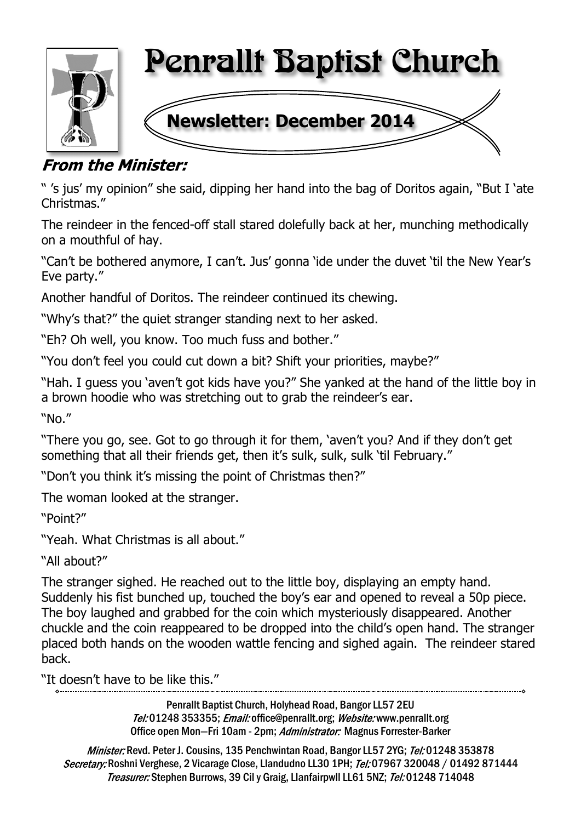

# **From the Minister:**

" 's jus' my opinion" she said, dipping her hand into the bag of Doritos again, "But I 'ate Christmas."

The reindeer in the fenced-off stall stared dolefully back at her, munching methodically on a mouthful of hay.

"Can't be bothered anymore, I can't. Jus' gonna 'ide under the duvet 'til the New Year's Eve party."

Another handful of Doritos. The reindeer continued its chewing.

"Why's that?" the quiet stranger standing next to her asked.

"Eh? Oh well, you know. Too much fuss and bother."

"You don't feel you could cut down a bit? Shift your priorities, maybe?"

"Hah. I guess you 'aven't got kids have you?" She yanked at the hand of the little boy in a brown hoodie who was stretching out to grab the reindeer's ear.

"No."

"There you go, see. Got to go through it for them, 'aven't you? And if they don't get something that all their friends get, then it's sulk, sulk, sulk 'til February."

"Don't you think it's missing the point of Christmas then?"

The woman looked at the stranger.

"Point?"

"Yeah. What Christmas is all about."

"All about?"

The stranger sighed. He reached out to the little boy, displaying an empty hand. Suddenly his fist bunched up, touched the boy's ear and opened to reveal a 50p piece. The boy laughed and grabbed for the coin which mysteriously disappeared. Another chuckle and the coin reappeared to be dropped into the child's open hand. The stranger placed both hands on the wooden wattle fencing and sighed again. The reindeer stared back.

"It doesn't have to be like this."

Penrallt Baptist Church, Holyhead Road, Bangor LL57 2EU Tel:01248 353355; Email: office@penrallt.org; Website: www.penrallt.org Office open Mon-Fri 10am - 2pm; Administrator: Magnus Forrester-Barker

Minister: Revd. Peter J. Cousins, 135 Penchwintan Road, Bangor LL57 2YG; Tel: 01248 353878 Secretary: Roshni Verghese, 2 Vicarage Close, Llandudno LL30 1PH; Tel: 07967 320048 / 01492 871444 Treasurer: Stephen Burrows, 39 Cil y Graig, Llanfairpwll LL61 5NZ; Tel: 01248 714048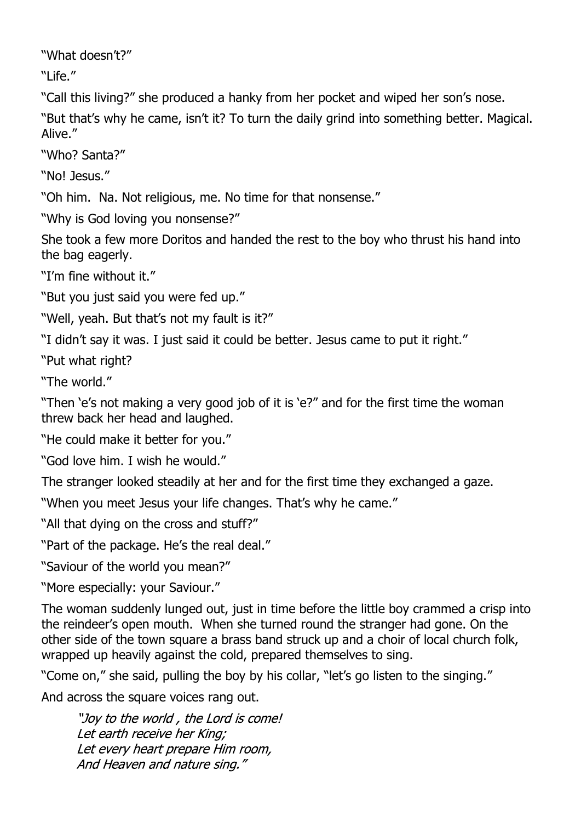"What doesn't?"

"Life."

"Call this living?" she produced a hanky from her pocket and wiped her son's nose.

"But that's why he came, isn't it? To turn the daily grind into something better. Magical. Alive."

"Who? Santa?"

"No! Jesus."

"Oh him. Na. Not religious, me. No time for that nonsense."

"Why is God loving you nonsense?"

She took a few more Doritos and handed the rest to the boy who thrust his hand into the bag eagerly.

"I'm fine without it."

"But you just said you were fed up."

"Well, yeah. But that's not my fault is it?"

"I didn't say it was. I just said it could be better. Jesus came to put it right."

"Put what right?

"The world."

"Then 'e's not making a very good job of it is 'e?" and for the first time the woman threw back her head and laughed.

"He could make it better for you."

"God love him. I wish he would."

The stranger looked steadily at her and for the first time they exchanged a gaze.

"When you meet Jesus your life changes. That's why he came."

"All that dying on the cross and stuff?"

"Part of the package. He's the real deal."

"Saviour of the world you mean?"

"More especially: your Saviour."

The woman suddenly lunged out, just in time before the little boy crammed a crisp into the reindeer's open mouth. When she turned round the stranger had gone. On the other side of the town square a brass band struck up and a choir of local church folk, wrapped up heavily against the cold, prepared themselves to sing.

"Come on," she said, pulling the boy by his collar, "let's go listen to the singing."

And across the square voices rang out.

"Joy to the world, the Lord is come! Let earth receive her King: Let every heart prepare Him room, And Heaven and nature sing."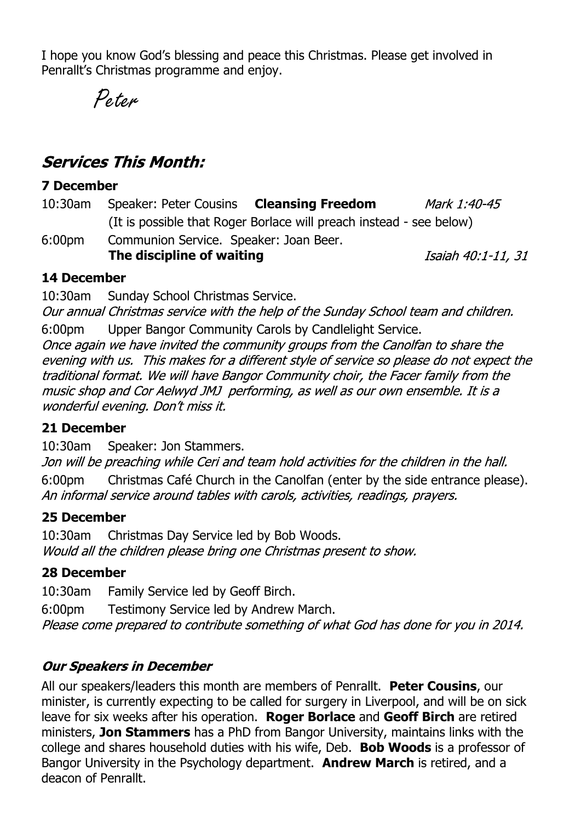I hope you know God's blessing and peace this Christmas. Please get involved in Penrallt's Christmas programme and enjoy.

Peter

# **Services This Month:**

#### **7 December**

10:30am Speaker: Peter Cousins **Cleansing Freedom** Mark 1:40-45 (It is possible that Roger Borlace will preach instead - see below)

6:00pm Communion Service. Speaker: Joan Beer. **The discipline of waiting**

Isaiah 40:1-11, 31

## **14 December**

10:30am Sunday School Christmas Service.

Our annual Christmas service with the help of the Sunday School team and children.

6:00pm Upper Bangor Community Carols by Candlelight Service.

Once again we have invited the community groups from the Canolfan to share the evening with us. This makes for a different style of service so please do not expect the traditional format. We will have Bangor Community choir, the Facer family from the music shop and Cor Aelwyd JMJ performing, as well as our own ensemble. It is a wonderful evening. Don't miss it.

## **21 December**

10:30am Speaker: Jon Stammers.

Jon will be preaching while Ceri and team hold activities for the children in the hall. 6:00pm Christmas Café Church in the Canolfan (enter by the side entrance please). An informal service around tables with carols, activities, readings, prayers.

## **25 December**

10:30am Christmas Day Service led by Bob Woods. Would all the children please bring one Christmas present to show.

## **28 December**

10:30am Family Service led by Geoff Birch.

6:00pm Testimony Service led by Andrew March. Please come prepared to contribute something of what God has done for you in 2014.

# **Our Speakers in December**

All our speakers/leaders this month are members of Penrallt. **Peter Cousins**, our minister, is currently expecting to be called for surgery in Liverpool, and will be on sick leave for six weeks after his operation. **Roger Borlace** and **Geoff Birch** are retired ministers, **Jon Stammers** has a PhD from Bangor University, maintains links with the college and shares household duties with his wife, Deb. **Bob Woods** is a professor of Bangor University in the Psychology department. **Andrew March** is retired, and a deacon of Penrallt.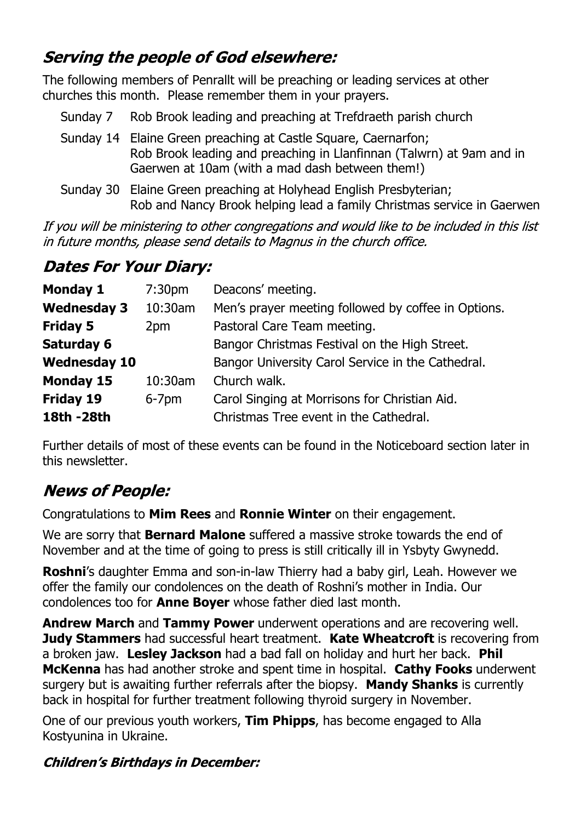# **Serving the people of God elsewhere:**

The following members of Penrallt will be preaching or leading services at other churches this month. Please remember them in your prayers.

- Sunday 7 Rob Brook leading and preaching at Trefdraeth parish church
- Sunday 14 Elaine Green preaching at Castle Square, Caernarfon; Rob Brook leading and preaching in Llanfinnan (Talwrn) at 9am and in Gaerwen at 10am (with a mad dash between them!)
- Sunday 30 Elaine Green preaching at Holyhead English Presbyterian; Rob and Nancy Brook helping lead a family Christmas service in Gaerwen

If you will be ministering to other congregations and would like to be included in this list in future months, please send details to Magnus in the church office.

# **Dates For Your Diary:**

| <b>Monday 1</b>     | 7:30 <sub>pm</sub> | Deacons' meeting.                                   |
|---------------------|--------------------|-----------------------------------------------------|
| <b>Wednesday 3</b>  | 10:30am            | Men's prayer meeting followed by coffee in Options. |
| <b>Friday 5</b>     | 2pm                | Pastoral Care Team meeting.                         |
| <b>Saturday 6</b>   |                    | Bangor Christmas Festival on the High Street.       |
| <b>Wednesday 10</b> |                    | Bangor University Carol Service in the Cathedral.   |
| <b>Monday 15</b>    | 10:30am            | Church walk.                                        |
| <b>Friday 19</b>    | $6-7$ pm           | Carol Singing at Morrisons for Christian Aid.       |
| 18th - 28th         |                    | Christmas Tree event in the Cathedral.              |

Further details of most of these events can be found in the Noticeboard section later in this newsletter.

# **News of People:**

Congratulations to **Mim Rees** and **Ronnie Winter** on their engagement.

We are sorry that **Bernard Malone** suffered a massive stroke towards the end of November and at the time of going to press is still critically ill in Ysbyty Gwynedd.

**Roshni**'s daughter Emma and son-in-law Thierry had a baby girl, Leah. However we offer the family our condolences on the death of Roshni's mother in India. Our condolences too for **Anne Boyer** whose father died last month.

**Andrew March** and **Tammy Power** underwent operations and are recovering well. **Judy Stammers** had successful heart treatment. **Kate Wheatcroft** is recovering from a broken jaw. **Lesley Jackson** had a bad fall on holiday and hurt her back. **Phil McKenna** has had another stroke and spent time in hospital. **Cathy Fooks** underwent surgery but is awaiting further referrals after the biopsy. **Mandy Shanks** is currently back in hospital for further treatment following thyroid surgery in November.

One of our previous youth workers, **Tim Phipps**, has become engaged to Alla Kostyunina in Ukraine.

# **Children's Birthdays in December:**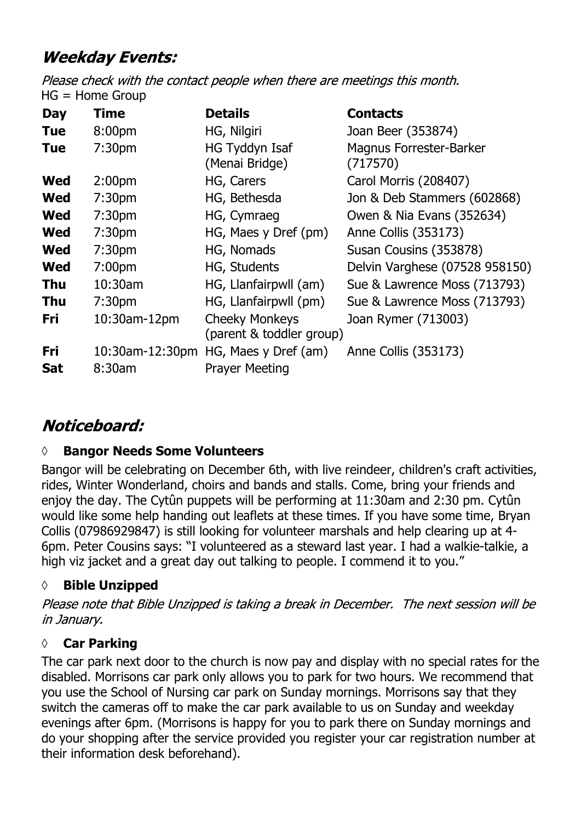# **Weekday Events:**

Please check with the contact people when there are meetings this month.  $HG = Home Group$ 

| <b>Day</b> | Time               | <b>Details</b>                                    | <b>Contacts</b>                            |
|------------|--------------------|---------------------------------------------------|--------------------------------------------|
| <b>Tue</b> | 8:00pm             | HG, Nilgiri                                       | Joan Beer (353874)                         |
| <b>Tue</b> | 7:30 <sub>pm</sub> | HG Tyddyn Isaf<br>(Menai Bridge)                  | <b>Magnus Forrester-Barker</b><br>(717570) |
| <b>Wed</b> | 2:00 <sub>pm</sub> | HG, Carers                                        | Carol Morris (208407)                      |
| <b>Wed</b> | 7:30 <sub>pm</sub> | HG, Bethesda                                      | Jon & Deb Stammers (602868)                |
| <b>Wed</b> | 7:30 <sub>pm</sub> | HG, Cymraeg                                       | Owen & Nia Evans (352634)                  |
| <b>Wed</b> | 7:30 <sub>pm</sub> | HG, Maes y Dref (pm)                              | Anne Collis (353173)                       |
| <b>Wed</b> | 7:30 <sub>pm</sub> | HG, Nomads                                        | Susan Cousins (353878)                     |
| <b>Wed</b> | 7:00 <sub>pm</sub> | HG, Students                                      | Delvin Varghese (07528 958150)             |
| <b>Thu</b> | $10:30$ am         | HG, Llanfairpwll (am)                             | Sue & Lawrence Moss (713793)               |
| <b>Thu</b> | 7:30 <sub>pm</sub> | HG, Llanfairpwll (pm)                             | Sue & Lawrence Moss (713793)               |
| <b>Fri</b> | 10:30am-12pm       | <b>Cheeky Monkeys</b><br>(parent & toddler group) | Joan Rymer (713003)                        |
| Fri        | 10:30am-12:30pm    | HG, Maes y Dref (am)                              | Anne Collis (353173)                       |
| <b>Sat</b> | 8:30am             | <b>Prayer Meeting</b>                             |                                            |

# Noticeboard:

# **◊ Bangor Needs Some Volunteers**

Bangor will be celebrating on December 6th, with live reindeer, children's craft activities, rides, Winter Wonderland, choirs and bands and stalls. Come, bring your friends and enjoy the day. The Cytûn puppets will be performing at 11:30am and 2:30 pm. Cytûn would like some help handing out leaflets at these times. If you have some time, Bryan Collis (07986929847) is still looking for volunteer marshals and help clearing up at 4- 6pm. Peter Cousins says: "I volunteered as a steward last year. I had a walkie-talkie, a high viz jacket and a great day out talking to people. I commend it to you."

# *◊* **Bible Unzipped**

Please note that Bible Unzipped is taking a break in December. The next session will be in January.

# **◊ Car Parking**

The car park next door to the church is now pay and display with no special rates for the disabled. Morrisons car park only allows you to park for two hours. We recommend that you use the School of Nursing car park on Sunday mornings. Morrisons say that they switch the cameras off to make the car park available to us on Sunday and weekday evenings after 6pm. (Morrisons is happy for you to park there on Sunday mornings and do your shopping after the service provided you register your car registration number at their information desk beforehand).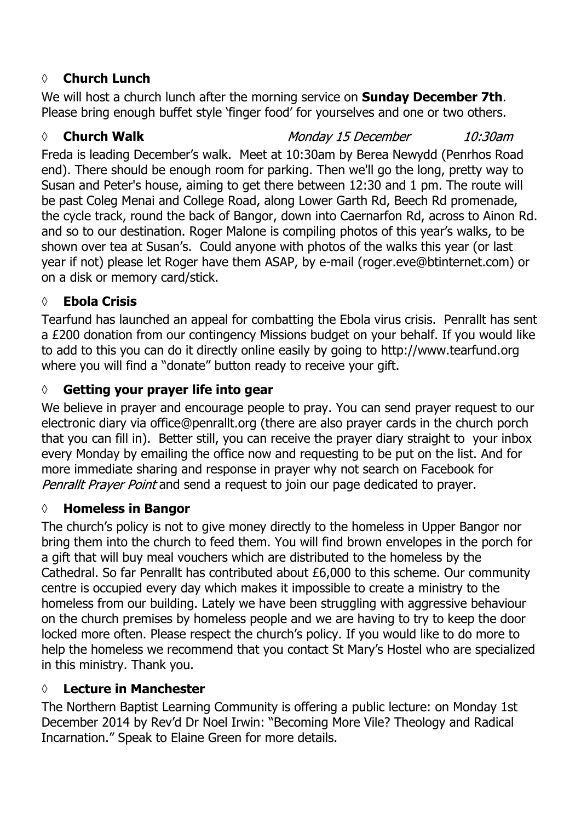# **◊ Church Lunch**

We will host a church lunch after the morning service on **Sunday December 7th**. Please bring enough buffet style 'finger food' for yourselves and one or two others.

#### *◊* **Church Walk** Monday 15 December  $10:30$ am

Freda is leading December's walk. Meet at 10:30am by Berea Newydd (Penrhos Road end). There should be enough room for parking. Then we'll go the long, pretty way to Susan and Peter's house, aiming to get there between 12:30 and 1 pm. The route will be past Coleg Menai and College Road, along Lower Garth Rd, Beech Rd promenade, the cycle track, round the back of Bangor, down into Caernarfon Rd, across to Ainon Rd. and so to our destination. Roger Malone is compiling photos of this year's walks, to be shown over tea at Susan's. Could anyone with photos of the walks this year (or last year if not) please let Roger have them ASAP, by e-mail (roger.eve@btinternet.com) or on a disk or memory card/stick.

## **◊ Ebola Crisis**

Tearfund has launched an appeal for combatting the Ebola virus crisis. Penrallt has sent a £200 donation from our contingency Missions budget on your behalf. If you would like to add to this you can do it directly online easily by going to http://www.tearfund.org where you will find a "donate" button ready to receive your gift.

## **◊ Getting your prayer life into gear**

We believe in prayer and encourage people to pray. You can send prayer request to our electronic diary via office@penrallt.org (there are also prayer cards in the church porch that you can fill in). Better still, you can receive the prayer diary straight to your inbox every Monday by emailing the office now and requesting to be put on the list. And for more immediate sharing and response in prayer why not search on Facebook for Penrallt Prayer Point and send a request to join our page dedicated to prayer.

## **◊ Homeless in Bangor**

The church's policy is not to give money directly to the homeless in Upper Bangor nor bring them into the church to feed them. You will find brown envelopes in the porch for a gift that will buy meal vouchers which are distributed to the homeless by the Cathedral. So far Penrallt has contributed about £6,000 to this scheme. Our community centre is occupied every day which makes it impossible to create a ministry to the homeless from our building. Lately we have been struggling with aggressive behaviour on the church premises by homeless people and we are having to try to keep the door locked more often. Please respect the church's policy. If you would like to do more to help the homeless we recommend that you contact St Mary's Hostel who are specialized in this ministry. Thank you.

## **◊ Lecture in Manchester**

The Northern Baptist Learning Community is offering a public lecture: on Monday 1st December 2014 by Rev'd Dr Noel Irwin: "Becoming More Vile? Theology and Radical Incarnation." Speak to Elaine Green for more details.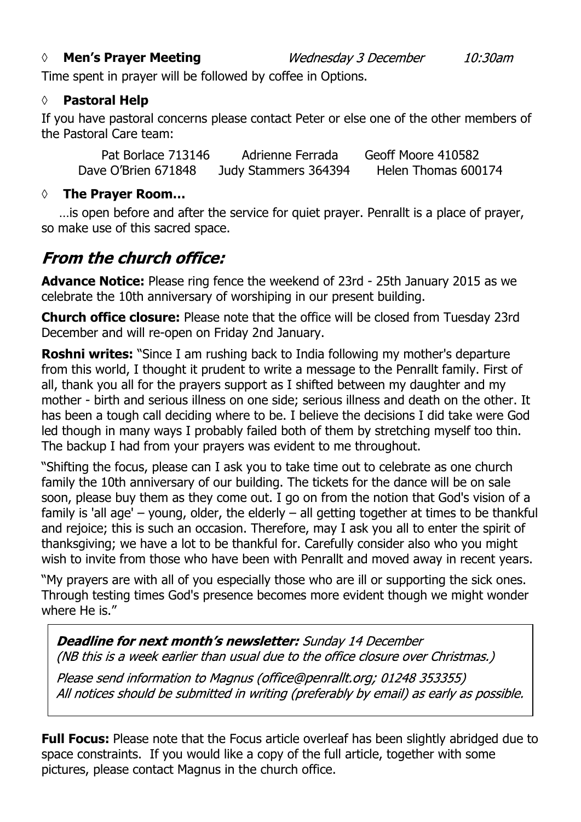#### *◊* **Men's Prayer Meeting**

Time spent in prayer will be followed by coffee in Options.

#### **◊ Pastoral Help**

If you have pastoral concerns please contact Peter or else one of the other members of the Pastoral Care team:

Wednesday 3 December

| Pat Borlace 713146  | Adrienne Ferrada     | Geoff Moore 410582  |
|---------------------|----------------------|---------------------|
| Dave O'Brien 671848 | Judy Stammers 364394 | Helen Thomas 600174 |

#### **◊ The Prayer Room…**

…is open before and after the service for quiet prayer. Penrallt is a place of prayer, so make use of this sacred space.

# **From the church office:**

**Advance Notice:** Please ring fence the weekend of 23rd - 25th January 2015 as we celebrate the 10th anniversary of worshiping in our present building.

**Church office closure:** Please note that the office will be closed from Tuesday 23rd December and will re-open on Friday 2nd January.

**Roshni writes:** "Since I am rushing back to India following my mother's departure from this world, I thought it prudent to write a message to the Penrallt family. First of all, thank you all for the prayers support as I shifted between my daughter and my mother - birth and serious illness on one side; serious illness and death on the other. It has been a tough call deciding where to be. I believe the decisions I did take were God led though in many ways I probably failed both of them by stretching myself too thin. The backup I had from your prayers was evident to me throughout.

"Shifting the focus, please can I ask you to take time out to celebrate as one church family the 10th anniversary of our building. The tickets for the dance will be on sale soon, please buy them as they come out. I go on from the notion that God's vision of a family is 'all age' – young, older, the elderly – all getting together at times to be thankful and rejoice; this is such an occasion. Therefore, may I ask you all to enter the spirit of thanksgiving; we have a lot to be thankful for. Carefully consider also who you might wish to invite from those who have been with Penrallt and moved away in recent years.

"My prayers are with all of you especially those who are ill or supporting the sick ones. Through testing times God's presence becomes more evident though we might wonder where He is."

**Deadline for next month's newsletter:** Sunday 14 December (NB this is a week earlier than usual due to the office closure over Christmas.)

Please send information to Magnus (office@penrallt.org; 01248 353355) All notices should be submitted in writing (preferably by email) as early as possible.

**Full Focus:** Please note that the Focus article overleaf has been slightly abridged due to space constraints. If you would like a copy of the full article, together with some pictures, please contact Magnus in the church office.

10:30am